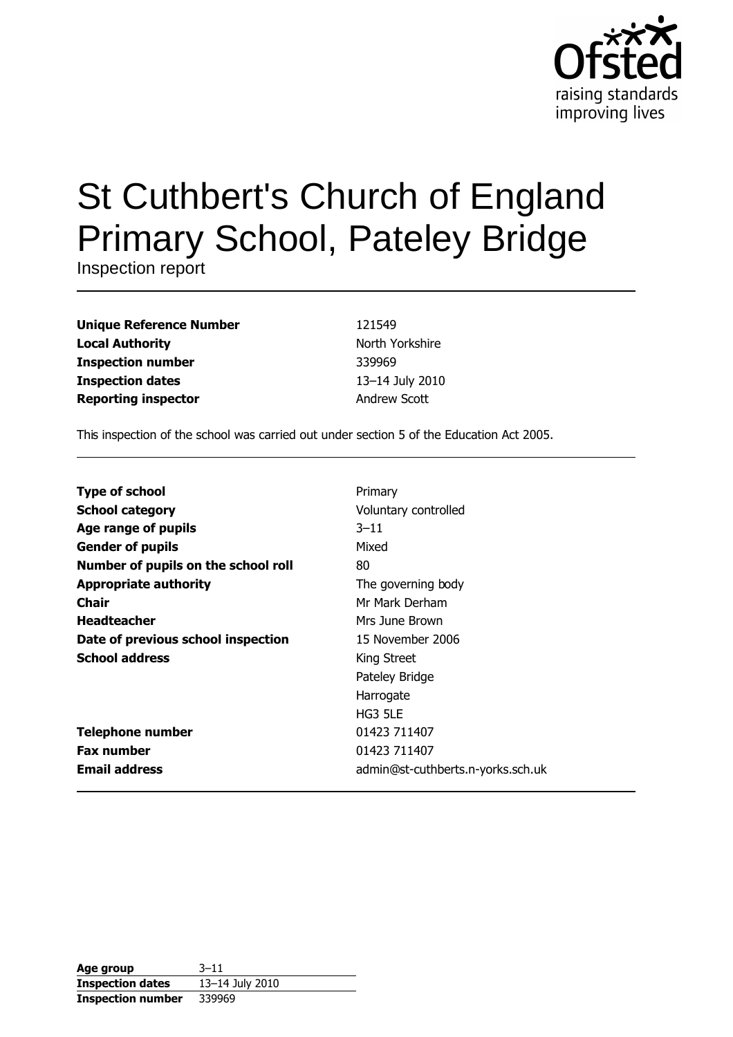

# St Cuthbert's Church of England **Primary School, Pateley Bridge**

Inspection report

| <b>Unique Reference Number</b> |
|--------------------------------|
| <b>Local Authority</b>         |
| <b>Inspection number</b>       |
| <b>Inspection dates</b>        |
| <b>Reporting inspector</b>     |

121549 North Yorkshire 339969 13-14 July 2010 Andrew Scott

This inspection of the school was carried out under section 5 of the Education Act 2005.

| <b>Type of school</b>               | Primary                           |
|-------------------------------------|-----------------------------------|
| <b>School category</b>              | Voluntary controlled              |
| Age range of pupils                 | $3 - 11$                          |
| <b>Gender of pupils</b>             | Mixed                             |
| Number of pupils on the school roll | 80                                |
| <b>Appropriate authority</b>        | The governing body                |
| Chair                               | Mr Mark Derham                    |
| <b>Headteacher</b>                  | Mrs June Brown                    |
| Date of previous school inspection  | 15 November 2006                  |
| <b>School address</b>               | King Street                       |
|                                     | Pateley Bridge                    |
|                                     | Harrogate                         |
|                                     | HG3 5LE                           |
| <b>Telephone number</b>             | 01423 711407                      |
| <b>Fax number</b>                   | 01423 711407                      |
| <b>Email address</b>                | admin@st-cuthberts.n-yorks.sch.uk |

| Age group                | $3 - 11$        |
|--------------------------|-----------------|
| <b>Inspection dates</b>  | 13-14 July 2010 |
| <b>Inspection number</b> | 339969          |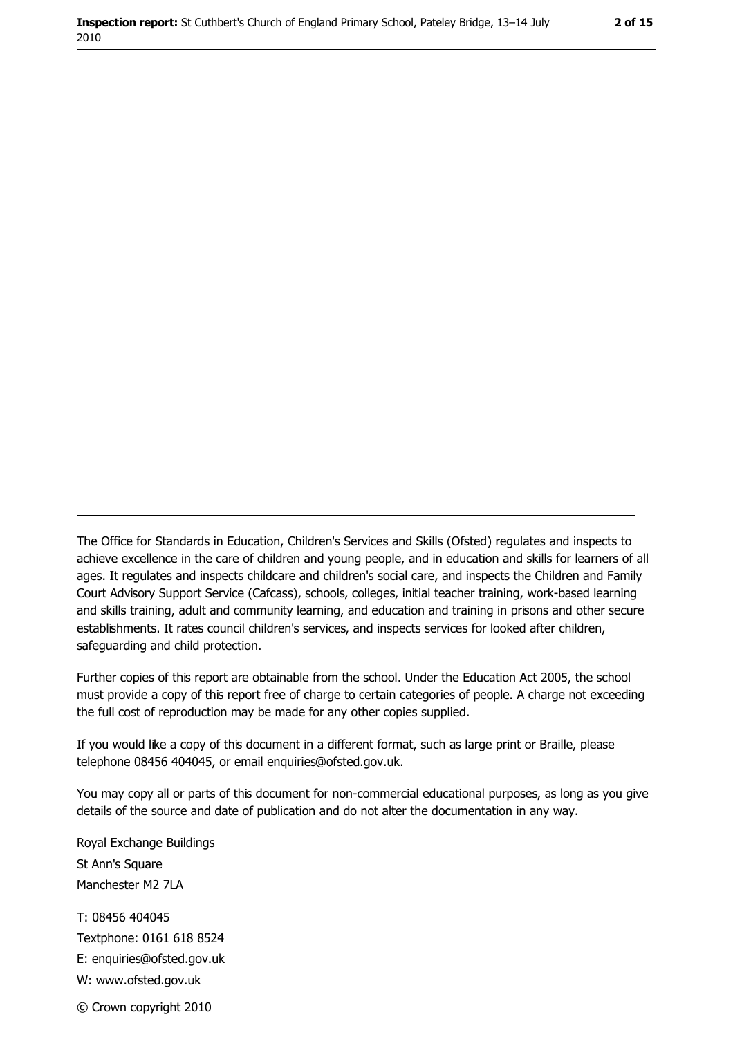The Office for Standards in Education, Children's Services and Skills (Ofsted) regulates and inspects to achieve excellence in the care of children and young people, and in education and skills for learners of all ages. It regulates and inspects childcare and children's social care, and inspects the Children and Family Court Advisory Support Service (Cafcass), schools, colleges, initial teacher training, work-based learning and skills training, adult and community learning, and education and training in prisons and other secure establishments. It rates council children's services, and inspects services for looked after children, safequarding and child protection.

Further copies of this report are obtainable from the school. Under the Education Act 2005, the school must provide a copy of this report free of charge to certain categories of people. A charge not exceeding the full cost of reproduction may be made for any other copies supplied.

If you would like a copy of this document in a different format, such as large print or Braille, please telephone 08456 404045, or email enquiries@ofsted.gov.uk.

You may copy all or parts of this document for non-commercial educational purposes, as long as you give details of the source and date of publication and do not alter the documentation in any way.

Royal Exchange Buildings St Ann's Square Manchester M2 7LA T: 08456 404045 Textphone: 0161 618 8524 E: enquiries@ofsted.gov.uk W: www.ofsted.gov.uk © Crown copyright 2010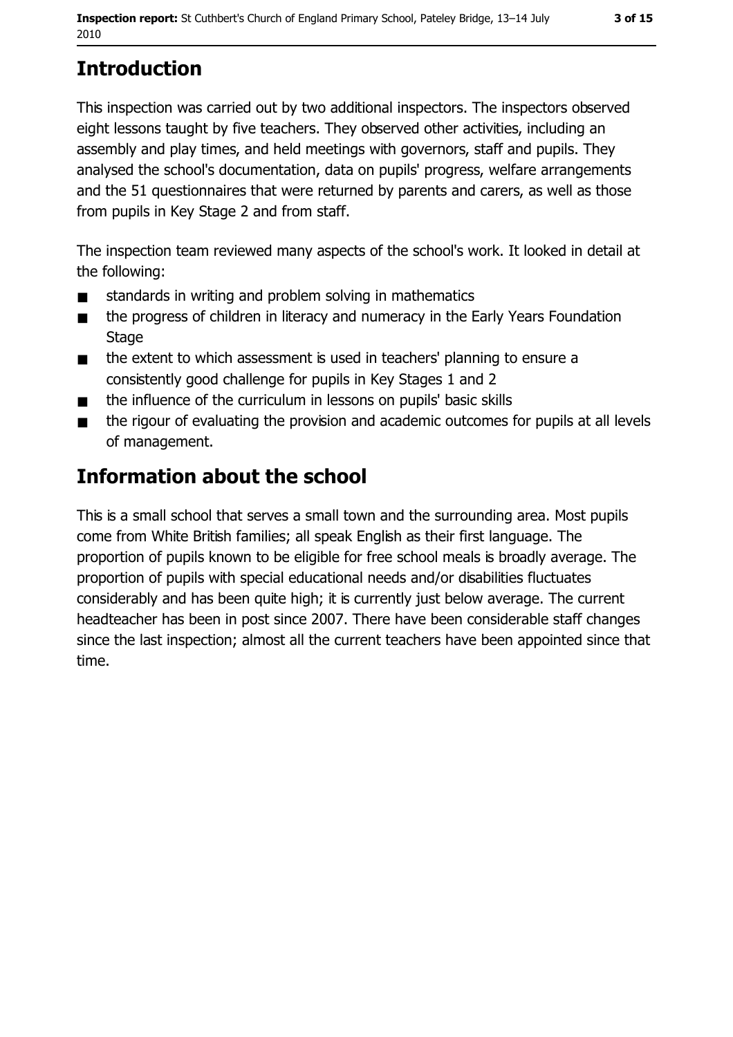# **Introduction**

This inspection was carried out by two additional inspectors. The inspectors observed eight lessons taught by five teachers. They observed other activities, including an assembly and play times, and held meetings with governors, staff and pupils. They analysed the school's documentation, data on pupils' progress, welfare arrangements and the 51 questionnaires that were returned by parents and carers, as well as those from pupils in Key Stage 2 and from staff.

The inspection team reviewed many aspects of the school's work. It looked in detail at the following:

- standards in writing and problem solving in mathematics  $\blacksquare$
- the progress of children in literacy and numeracy in the Early Years Foundation  $\blacksquare$ **Stage**
- the extent to which assessment is used in teachers' planning to ensure a  $\blacksquare$ consistently good challenge for pupils in Key Stages 1 and 2
- the influence of the curriculum in lessons on pupils' basic skills  $\blacksquare$
- the rigour of evaluating the provision and academic outcomes for pupils at all levels  $\blacksquare$ of management.

# **Information about the school**

This is a small school that serves a small town and the surrounding area. Most pupils come from White British families; all speak English as their first language. The proportion of pupils known to be eligible for free school meals is broadly average. The proportion of pupils with special educational needs and/or disabilities fluctuates considerably and has been quite high; it is currently just below average. The current headteacher has been in post since 2007. There have been considerable staff changes since the last inspection; almost all the current teachers have been appointed since that time.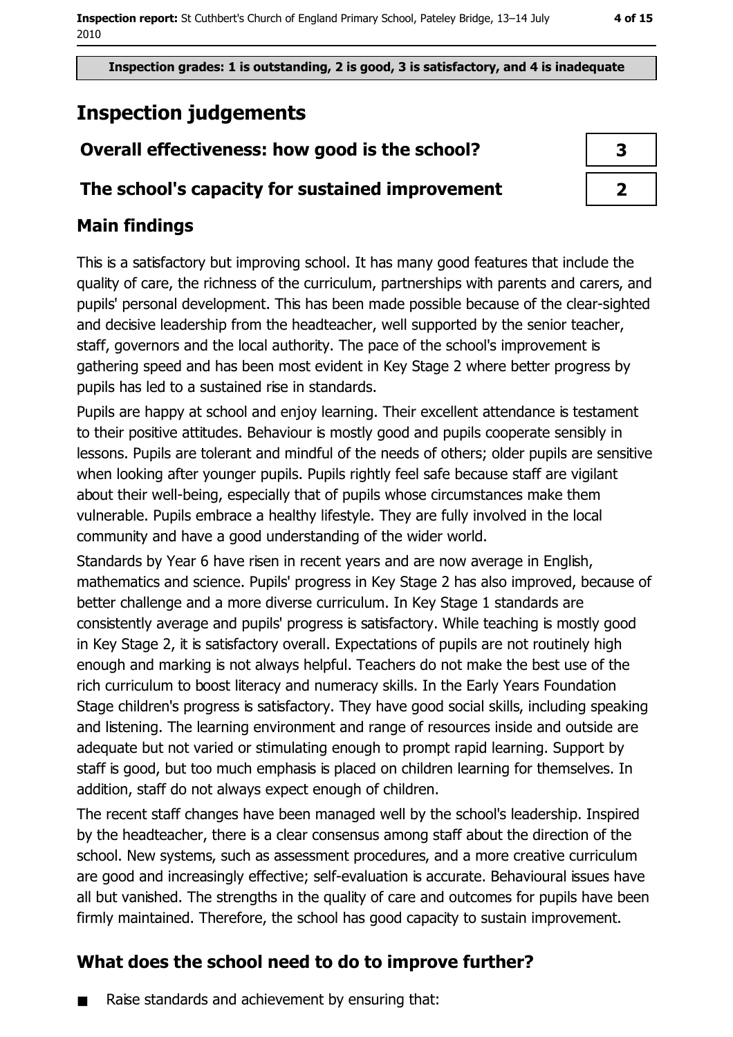Inspection grades: 1 is outstanding, 2 is good, 3 is satisfactory, and 4 is inadequate

# **Inspection judgements**

# Overall effectiveness: how good is the school?

# The school's capacity for sustained improvement

# **Main findings**

This is a satisfactory but improving school. It has many good features that include the quality of care, the richness of the curriculum, partnerships with parents and carers, and pupils' personal development. This has been made possible because of the clear-sighted and decisive leadership from the headteacher, well supported by the senior teacher, staff, governors and the local authority. The pace of the school's improvement is gathering speed and has been most evident in Key Stage 2 where better progress by pupils has led to a sustained rise in standards.

Pupils are happy at school and enjoy learning. Their excellent attendance is testament to their positive attitudes. Behaviour is mostly good and pupils cooperate sensibly in lessons. Pupils are tolerant and mindful of the needs of others; older pupils are sensitive when looking after younger pupils. Pupils rightly feel safe because staff are vigilant about their well-being, especially that of pupils whose circumstances make them vulnerable. Pupils embrace a healthy lifestyle. They are fully involved in the local community and have a good understanding of the wider world.

Standards by Year 6 have risen in recent years and are now average in English, mathematics and science. Pupils' progress in Key Stage 2 has also improved, because of better challenge and a more diverse curriculum. In Key Stage 1 standards are consistently average and pupils' progress is satisfactory. While teaching is mostly good in Key Stage 2, it is satisfactory overall. Expectations of pupils are not routinely high enough and marking is not always helpful. Teachers do not make the best use of the rich curriculum to boost literacy and numeracy skills. In the Early Years Foundation Stage children's progress is satisfactory. They have good social skills, including speaking and listening. The learning environment and range of resources inside and outside are adequate but not varied or stimulating enough to prompt rapid learning. Support by staff is good, but too much emphasis is placed on children learning for themselves. In addition, staff do not always expect enough of children.

The recent staff changes have been managed well by the school's leadership. Inspired by the headteacher, there is a clear consensus among staff about the direction of the school. New systems, such as assessment procedures, and a more creative curriculum are good and increasingly effective; self-evaluation is accurate. Behavioural issues have all but vanished. The strengths in the quality of care and outcomes for pupils have been firmly maintained. Therefore, the school has good capacity to sustain improvement.

# What does the school need to do to improve further?

Raise standards and achievement by ensuring that:

| 3 |  |
|---|--|
|   |  |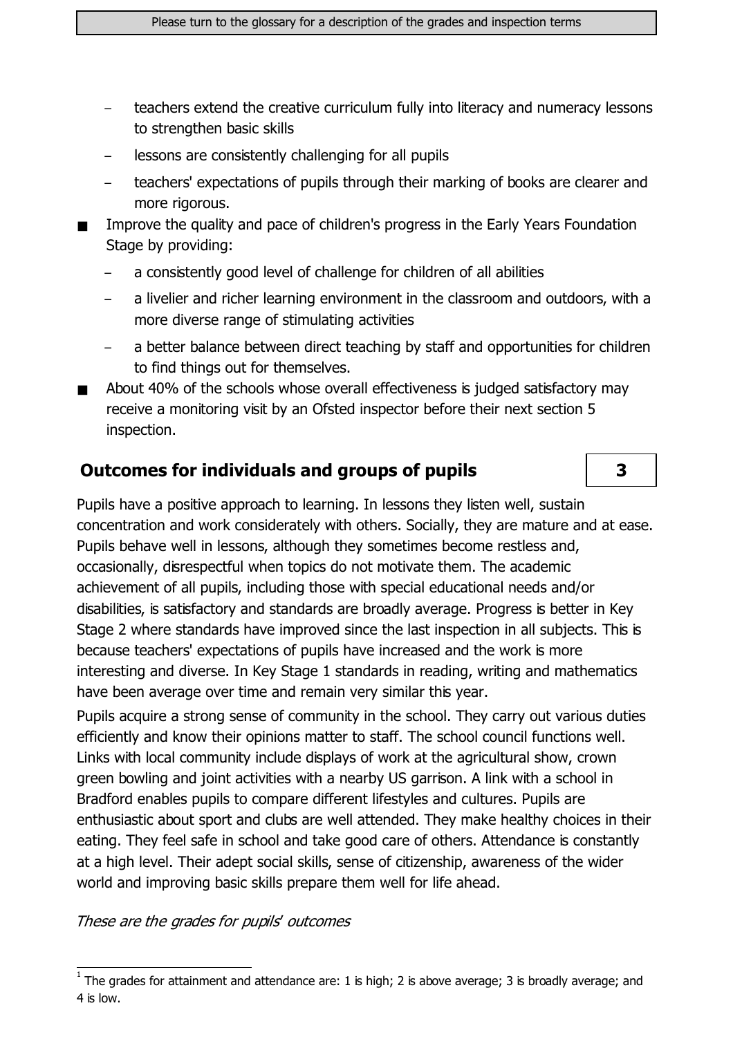- teachers extend the creative curriculum fully into literacy and numeracy lessons to strengthen basic skills
- lessons are consistently challenging for all pupils
- teachers' expectations of pupils through their marking of books are clearer and more rigorous.
- Improve the quality and pace of children's progress in the Early Years Foundation Stage by providing:
	- a consistently good level of challenge for children of all abilities
	- a livelier and richer learning environment in the classroom and outdoors, with a more diverse range of stimulating activities
	- a better balance between direct teaching by staff and opportunities for children to find things out for themselves.
- About 40% of the schools whose overall effectiveness is judged satisfactory may receive a monitoring visit by an Ofsted inspector before their next section 5 inspection.

## **Outcomes for individuals and groups of pupils**

Pupils have a positive approach to learning. In lessons they listen well, sustain concentration and work considerately with others. Socially, they are mature and at ease. Pupils behave well in lessons, although they sometimes become restless and, occasionally, disrespectful when topics do not motivate them. The academic achievement of all pupils, including those with special educational needs and/or disabilities, is satisfactory and standards are broadly average. Progress is better in Key Stage 2 where standards have improved since the last inspection in all subjects. This is because teachers' expectations of pupils have increased and the work is more interesting and diverse. In Key Stage 1 standards in reading, writing and mathematics have been average over time and remain very similar this year.

Pupils acquire a strong sense of community in the school. They carry out various duties efficiently and know their opinions matter to staff. The school council functions well. Links with local community include displays of work at the agricultural show, crown green bowling and joint activities with a nearby US garrison. A link with a school in Bradford enables pupils to compare different lifestyles and cultures. Pupils are enthusiastic about sport and clubs are well attended. They make healthy choices in their eating. They feel safe in school and take good care of others. Attendance is constantly at a high level. Their adept social skills, sense of citizenship, awareness of the wider world and improving basic skills prepare them well for life ahead.

These are the grades for pupils' outcomes

3

The grades for attainment and attendance are: 1 is high; 2 is above average; 3 is broadly average; and 4 is low.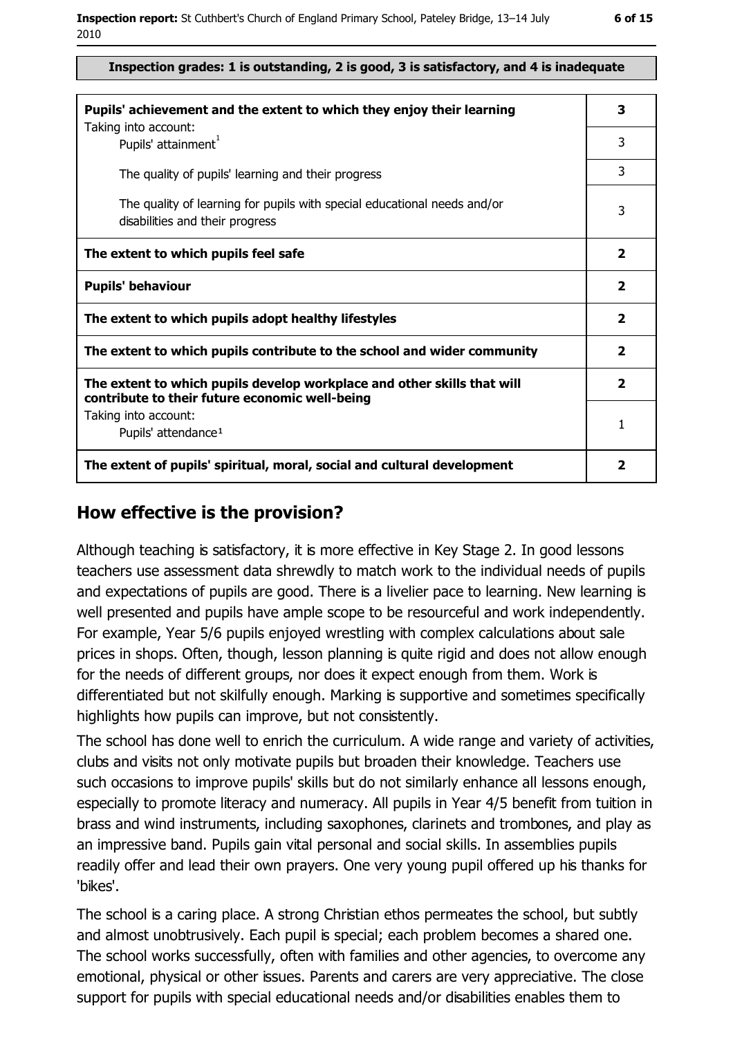| . .<br>۰. |
|-----------|
|           |

#### Inspection grades: 1 is outstanding, 2 is good, 3 is satisfactory, and 4 is inadequate

| Pupils' achievement and the extent to which they enjoy their learning                                                     |   |  |  |
|---------------------------------------------------------------------------------------------------------------------------|---|--|--|
| Taking into account:<br>Pupils' attainment <sup>1</sup>                                                                   | 3 |  |  |
| The quality of pupils' learning and their progress                                                                        | 3 |  |  |
| The quality of learning for pupils with special educational needs and/or<br>disabilities and their progress               | 3 |  |  |
| The extent to which pupils feel safe                                                                                      |   |  |  |
| <b>Pupils' behaviour</b>                                                                                                  |   |  |  |
| The extent to which pupils adopt healthy lifestyles                                                                       |   |  |  |
| The extent to which pupils contribute to the school and wider community                                                   |   |  |  |
| The extent to which pupils develop workplace and other skills that will<br>contribute to their future economic well-being |   |  |  |
| Taking into account:<br>Pupils' attendance <sup>1</sup>                                                                   | 1 |  |  |
| The extent of pupils' spiritual, moral, social and cultural development                                                   |   |  |  |

#### How effective is the provision?

Although teaching is satisfactory, it is more effective in Key Stage 2. In good lessons teachers use assessment data shrewdly to match work to the individual needs of pupils and expectations of pupils are good. There is a livelier pace to learning. New learning is well presented and pupils have ample scope to be resourceful and work independently. For example, Year 5/6 pupils enjoyed wrestling with complex calculations about sale prices in shops. Often, though, lesson planning is quite rigid and does not allow enough for the needs of different groups, nor does it expect enough from them. Work is differentiated but not skilfully enough. Marking is supportive and sometimes specifically highlights how pupils can improve, but not consistently.

The school has done well to enrich the curriculum. A wide range and variety of activities, clubs and visits not only motivate pupils but broaden their knowledge. Teachers use such occasions to improve pupils' skills but do not similarly enhance all lessons enough, especially to promote literacy and numeracy. All pupils in Year 4/5 benefit from tuition in brass and wind instruments, including saxophones, clarinets and trombones, and play as an impressive band. Pupils gain vital personal and social skills. In assemblies pupils readily offer and lead their own prayers. One very young pupil offered up his thanks for 'bikes'.

The school is a caring place. A strong Christian ethos permeates the school, but subtly and almost unobtrusively. Each pupil is special; each problem becomes a shared one. The school works successfully, often with families and other agencies, to overcome any emotional, physical or other issues. Parents and carers are very appreciative. The close support for pupils with special educational needs and/or disabilities enables them to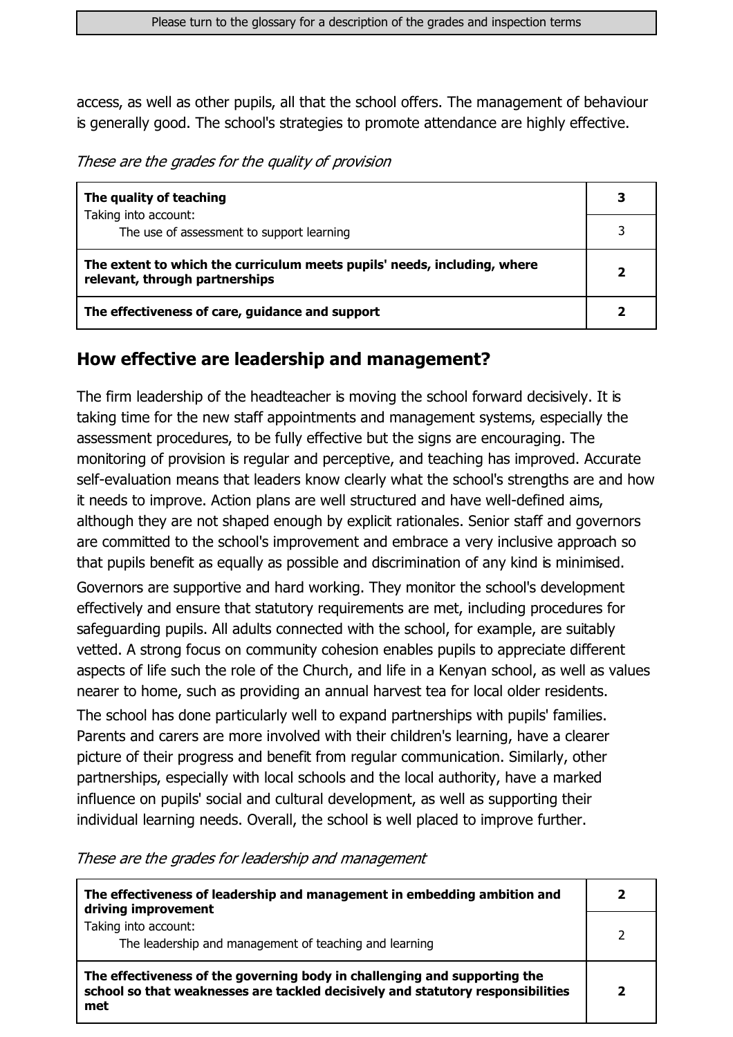access, as well as other pupils, all that the school offers. The management of behaviour is generally good. The school's strategies to promote attendance are highly effective.

These are the grades for the quality of provision

| The quality of teaching                                                                                    | 3 |
|------------------------------------------------------------------------------------------------------------|---|
| Taking into account:<br>The use of assessment to support learning                                          |   |
| The extent to which the curriculum meets pupils' needs, including, where<br>relevant, through partnerships |   |
| The effectiveness of care, guidance and support                                                            |   |

### How effective are leadership and management?

The firm leadership of the headteacher is moving the school forward decisively. It is taking time for the new staff appointments and management systems, especially the assessment procedures, to be fully effective but the signs are encouraging. The monitoring of provision is regular and perceptive, and teaching has improved. Accurate self-evaluation means that leaders know clearly what the school's strengths are and how it needs to improve. Action plans are well structured and have well-defined aims, although they are not shaped enough by explicit rationales. Senior staff and governors are committed to the school's improvement and embrace a very inclusive approach so that pupils benefit as equally as possible and discrimination of any kind is minimised.

Governors are supportive and hard working. They monitor the school's development effectively and ensure that statutory requirements are met, including procedures for safeguarding pupils. All adults connected with the school, for example, are suitably vetted. A strong focus on community cohesion enables pupils to appreciate different aspects of life such the role of the Church, and life in a Kenyan school, as well as values nearer to home, such as providing an annual harvest tea for local older residents.

The school has done particularly well to expand partnerships with pupils' families. Parents and carers are more involved with their children's learning, have a clearer picture of their progress and benefit from regular communication. Similarly, other partnerships, especially with local schools and the local authority, have a marked influence on pupils' social and cultural development, as well as supporting their individual learning needs. Overall, the school is well placed to improve further.

These are the grades for leadership and management

| The effectiveness of leadership and management in embedding ambition and<br>driving improvement                                                                     |  |
|---------------------------------------------------------------------------------------------------------------------------------------------------------------------|--|
| Taking into account:<br>The leadership and management of teaching and learning                                                                                      |  |
| The effectiveness of the governing body in challenging and supporting the<br>school so that weaknesses are tackled decisively and statutory responsibilities<br>met |  |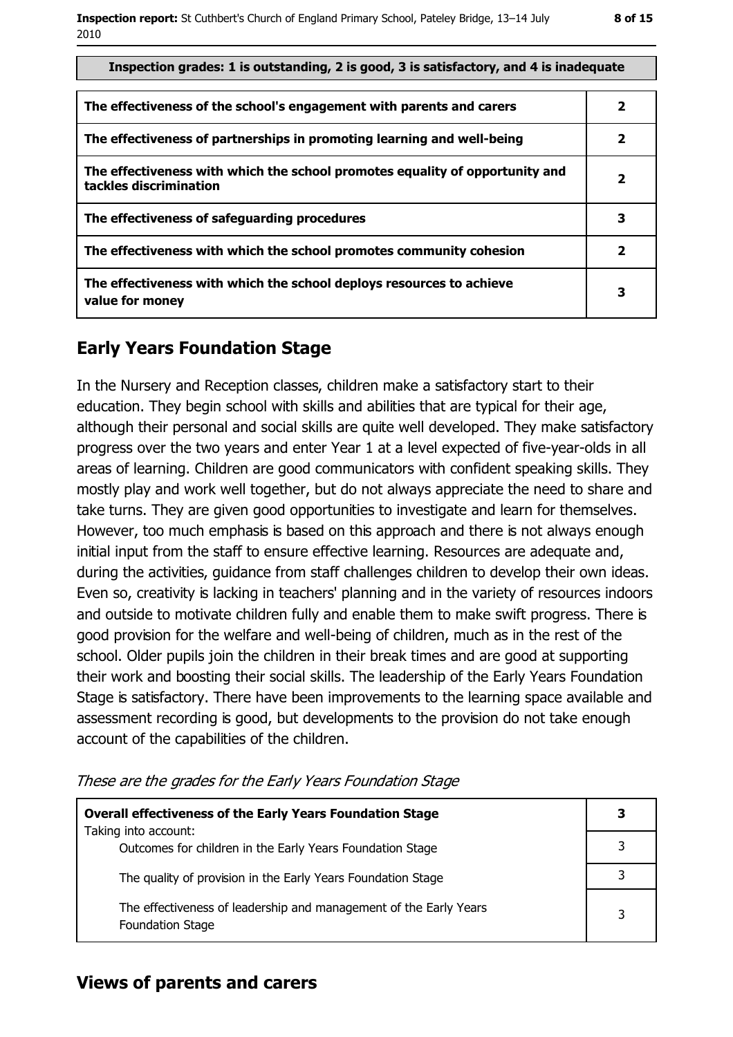| Inspection grades: 1 is outstanding, 2 is good, 3 is satisfactory, and 4 is inadequate                 |   |  |  |  |
|--------------------------------------------------------------------------------------------------------|---|--|--|--|
| The effectiveness of the school's engagement with parents and carers                                   | 2 |  |  |  |
| The effectiveness of partnerships in promoting learning and well-being                                 | 2 |  |  |  |
| The effectiveness with which the school promotes equality of opportunity and<br>tackles discrimination | 2 |  |  |  |
| The effectiveness of safeguarding procedures                                                           | 3 |  |  |  |
| The effectiveness with which the school promotes community cohesion                                    | 2 |  |  |  |
| The effectiveness with which the school deploys resources to achieve<br>value for money                | 3 |  |  |  |

### **Early Years Foundation Stage**

In the Nursery and Reception classes, children make a satisfactory start to their education. They begin school with skills and abilities that are typical for their age, although their personal and social skills are quite well developed. They make satisfactory progress over the two years and enter Year 1 at a level expected of five-year-olds in all areas of learning. Children are good communicators with confident speaking skills. They mostly play and work well together, but do not always appreciate the need to share and take turns. They are given good opportunities to investigate and learn for themselves. However, too much emphasis is based on this approach and there is not always enough initial input from the staff to ensure effective learning. Resources are adequate and, during the activities, quidance from staff challenges children to develop their own ideas. Even so, creativity is lacking in teachers' planning and in the variety of resources indoors and outside to motivate children fully and enable them to make swift progress. There is good provision for the welfare and well-being of children, much as in the rest of the school. Older pupils join the children in their break times and are good at supporting their work and boosting their social skills. The leadership of the Early Years Foundation Stage is satisfactory. There have been improvements to the learning space available and assessment recording is good, but developments to the provision do not take enough account of the capabilities of the children.

|  |  |  | These are the grades for the Early Years Foundation Stage |  |
|--|--|--|-----------------------------------------------------------|--|
|  |  |  |                                                           |  |

| <b>Overall effectiveness of the Early Years Foundation Stage</b>                             |  |
|----------------------------------------------------------------------------------------------|--|
| Taking into account:<br>Outcomes for children in the Early Years Foundation Stage            |  |
| The quality of provision in the Early Years Foundation Stage                                 |  |
| The effectiveness of leadership and management of the Early Years<br><b>Foundation Stage</b> |  |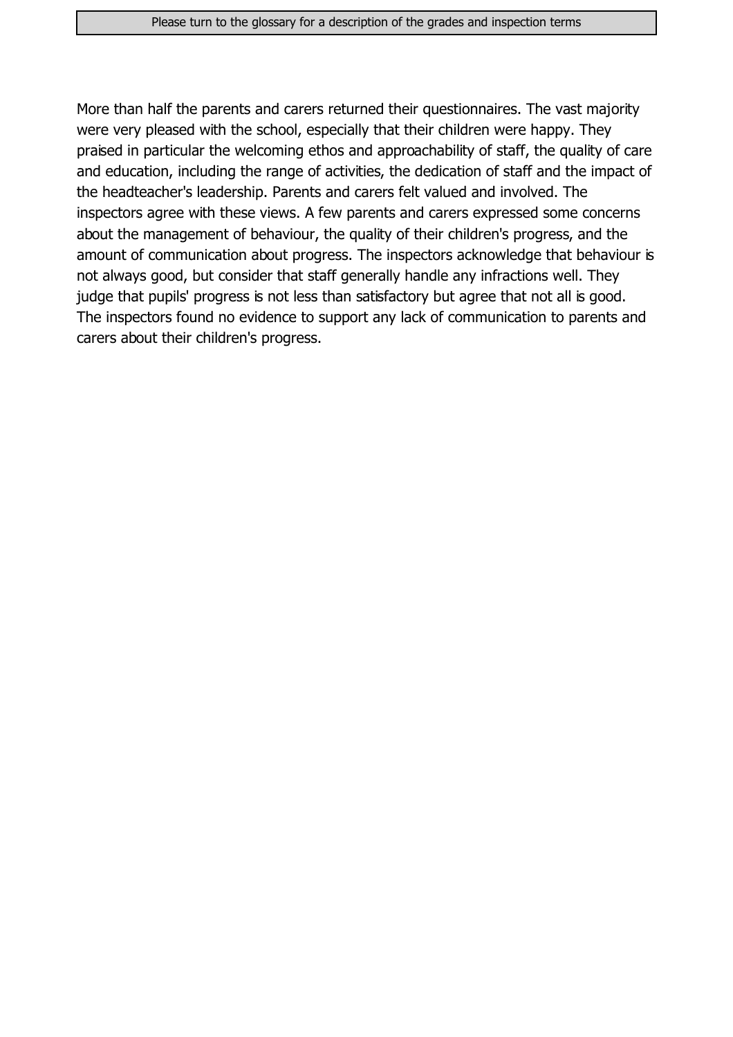More than half the parents and carers returned their questionnaires. The vast majority were very pleased with the school, especially that their children were happy. They praised in particular the welcoming ethos and approachability of staff, the quality of care and education, including the range of activities, the dedication of staff and the impact of the headteacher's leadership. Parents and carers felt valued and involved. The inspectors agree with these views. A few parents and carers expressed some concerns about the management of behaviour, the quality of their children's progress, and the amount of communication about progress. The inspectors acknowledge that behaviour is not always good, but consider that staff generally handle any infractions well. They judge that pupils' progress is not less than satisfactory but agree that not all is good. The inspectors found no evidence to support any lack of communication to parents and carers about their children's progress.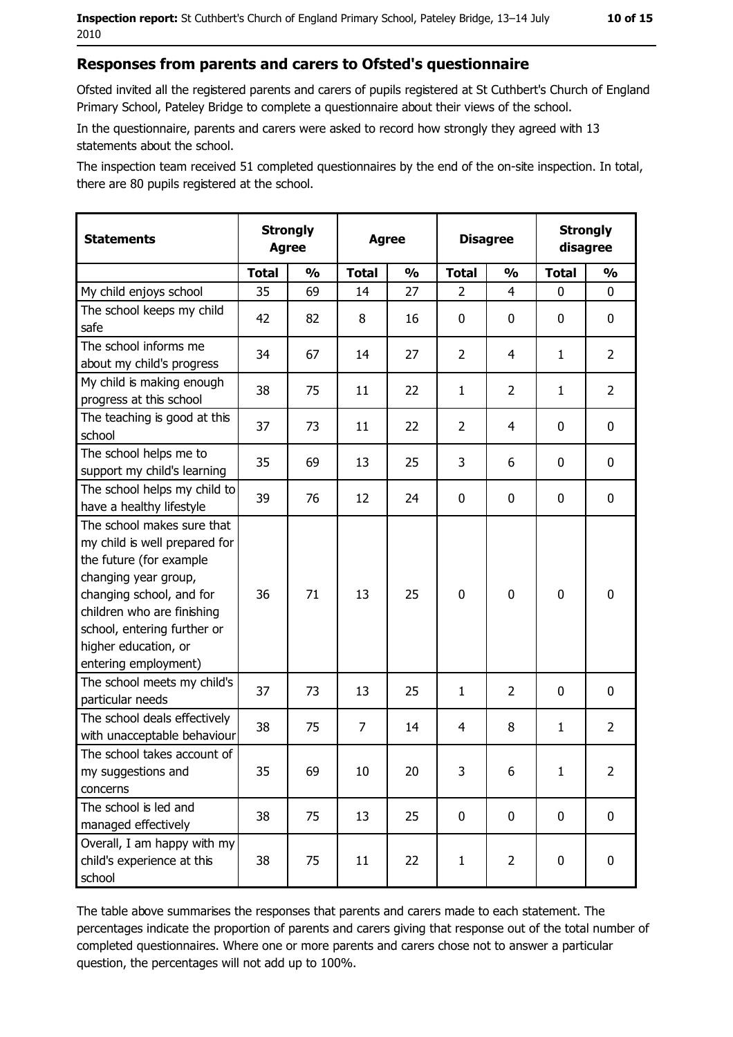#### Responses from parents and carers to Ofsted's questionnaire

Ofsted invited all the registered parents and carers of pupils registered at St Cuthbert's Church of England Primary School, Pateley Bridge to complete a questionnaire about their views of the school.

In the questionnaire, parents and carers were asked to record how strongly they agreed with 13 statements about the school.

The inspection team received 51 completed questionnaires by the end of the on-site inspection. In total, there are 80 pupils registered at the school.

| <b>Statements</b>                                                                                                                                                                                                                                       | <b>Strongly</b><br><b>Agree</b> |               | <b>Agree</b> |               | <b>Disagree</b> |                |              | <b>Strongly</b><br>disagree |
|---------------------------------------------------------------------------------------------------------------------------------------------------------------------------------------------------------------------------------------------------------|---------------------------------|---------------|--------------|---------------|-----------------|----------------|--------------|-----------------------------|
|                                                                                                                                                                                                                                                         | <b>Total</b>                    | $\frac{0}{0}$ | <b>Total</b> | $\frac{0}{0}$ | <b>Total</b>    | $\frac{0}{0}$  | <b>Total</b> | $\frac{0}{0}$               |
| My child enjoys school                                                                                                                                                                                                                                  | 35                              | 69            | 14           | 27            | $\overline{2}$  | $\overline{4}$ | $\mathbf{0}$ | 0                           |
| The school keeps my child<br>safe                                                                                                                                                                                                                       | 42                              | 82            | 8            | 16            | $\mathbf 0$     | 0              | 0            | 0                           |
| The school informs me<br>about my child's progress                                                                                                                                                                                                      | 34                              | 67            | 14           | 27            | $\overline{2}$  | 4              | 1            | $\overline{2}$              |
| My child is making enough<br>progress at this school                                                                                                                                                                                                    | 38                              | 75            | 11           | 22            | $\mathbf{1}$    | $\overline{2}$ | 1            | $\overline{2}$              |
| The teaching is good at this<br>school                                                                                                                                                                                                                  | 37                              | 73            | 11           | 22            | $\overline{2}$  | 4              | 0            | 0                           |
| The school helps me to<br>support my child's learning                                                                                                                                                                                                   | 35                              | 69            | 13           | 25            | 3               | 6              | $\mathbf 0$  | 0                           |
| The school helps my child to<br>have a healthy lifestyle                                                                                                                                                                                                | 39                              | 76            | 12           | 24            | $\mathbf 0$     | 0              | 0            | $\mathbf 0$                 |
| The school makes sure that<br>my child is well prepared for<br>the future (for example<br>changing year group,<br>changing school, and for<br>children who are finishing<br>school, entering further or<br>higher education, or<br>entering employment) | 36                              | 71            | 13           | 25            | $\mathbf 0$     | $\bf{0}$       | $\mathbf 0$  | $\mathbf 0$                 |
| The school meets my child's<br>particular needs                                                                                                                                                                                                         | 37                              | 73            | 13           | 25            | $\mathbf{1}$    | $\overline{2}$ | 0            | $\mathbf 0$                 |
| The school deals effectively<br>with unacceptable behaviour                                                                                                                                                                                             | 38                              | 75            | 7            | 14            | $\overline{4}$  | 8              | 1            | $\overline{2}$              |
| The school takes account of<br>my suggestions and<br>concerns                                                                                                                                                                                           | 35                              | 69            | 10           | 20            | 3               | 6              | 1            | 2                           |
| The school is led and<br>managed effectively                                                                                                                                                                                                            | 38                              | 75            | 13           | 25            | $\mathbf 0$     | $\pmb{0}$      | $\mathbf 0$  | $\mathbf 0$                 |
| Overall, I am happy with my<br>child's experience at this<br>school                                                                                                                                                                                     | 38                              | 75            | 11           | 22            | $\mathbf{1}$    | $\overline{2}$ | $\mathbf 0$  | $\mathbf 0$                 |

The table above summarises the responses that parents and carers made to each statement. The percentages indicate the proportion of parents and carers giving that response out of the total number of completed questionnaires. Where one or more parents and carers chose not to answer a particular question, the percentages will not add up to 100%.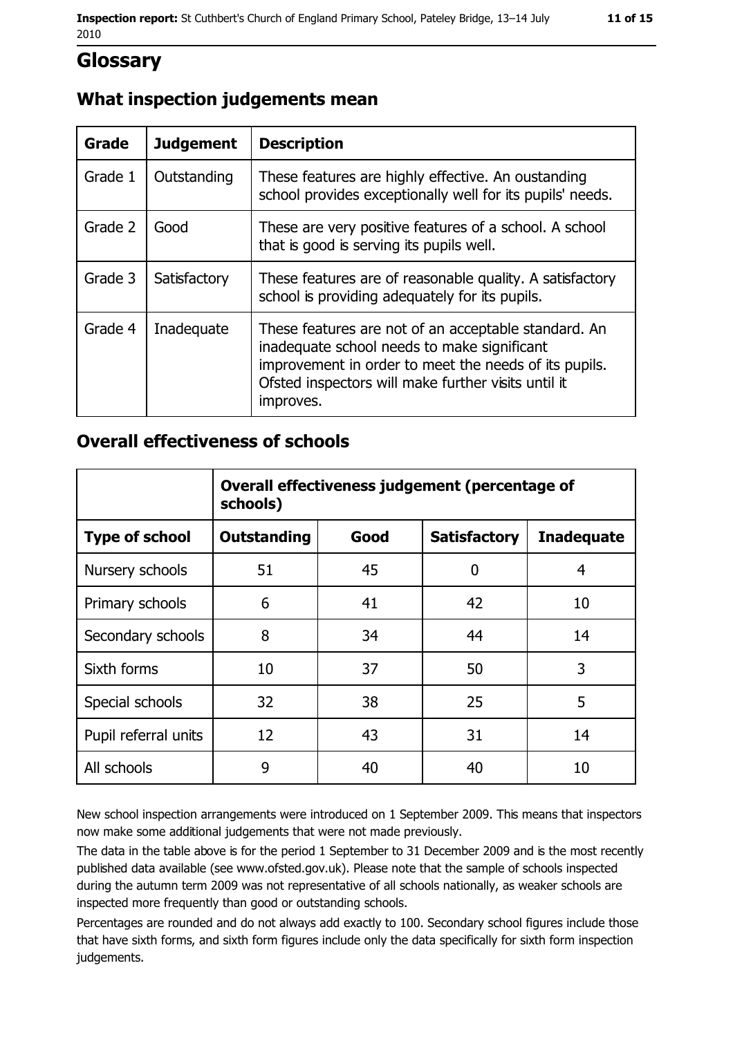# **Glossary**

# What inspection judgements mean

| <b>Grade</b> | <b>Judgement</b> | <b>Description</b>                                                                                                                                                                                                               |
|--------------|------------------|----------------------------------------------------------------------------------------------------------------------------------------------------------------------------------------------------------------------------------|
| Grade 1      | Outstanding      | These features are highly effective. An oustanding<br>school provides exceptionally well for its pupils' needs.                                                                                                                  |
| Grade 2      | Good             | These are very positive features of a school. A school<br>that is good is serving its pupils well.                                                                                                                               |
| Grade 3      | Satisfactory     | These features are of reasonable quality. A satisfactory<br>school is providing adequately for its pupils.                                                                                                                       |
| Grade 4      | Inadequate       | These features are not of an acceptable standard. An<br>inadequate school needs to make significant<br>improvement in order to meet the needs of its pupils.<br>Ofsted inspectors will make further visits until it<br>improves. |

### **Overall effectiveness of schools**

|                       | Overall effectiveness judgement (percentage of<br>schools) |      |                     |                   |  |  |
|-----------------------|------------------------------------------------------------|------|---------------------|-------------------|--|--|
| <b>Type of school</b> | <b>Outstanding</b>                                         | Good | <b>Satisfactory</b> | <b>Inadequate</b> |  |  |
| Nursery schools       | 51                                                         | 45   | 0                   | 4                 |  |  |
| Primary schools       | 6                                                          | 41   | 42                  | 10                |  |  |
| Secondary schools     | 8                                                          | 34   | 44                  | 14                |  |  |
| Sixth forms           | 10                                                         | 37   | 50                  | 3                 |  |  |
| Special schools       | 32                                                         | 38   | 25                  | 5                 |  |  |
| Pupil referral units  | 12                                                         | 43   | 31                  | 14                |  |  |
| All schools           | 9                                                          | 40   | 40                  | 10                |  |  |

New school inspection arrangements were introduced on 1 September 2009. This means that inspectors now make some additional judgements that were not made previously.

The data in the table above is for the period 1 September to 31 December 2009 and is the most recently published data available (see www.ofsted.gov.uk). Please note that the sample of schools inspected during the autumn term 2009 was not representative of all schools nationally, as weaker schools are inspected more frequently than good or outstanding schools.

Percentages are rounded and do not always add exactly to 100. Secondary school figures include those that have sixth forms, and sixth form figures include only the data specifically for sixth form inspection judgements.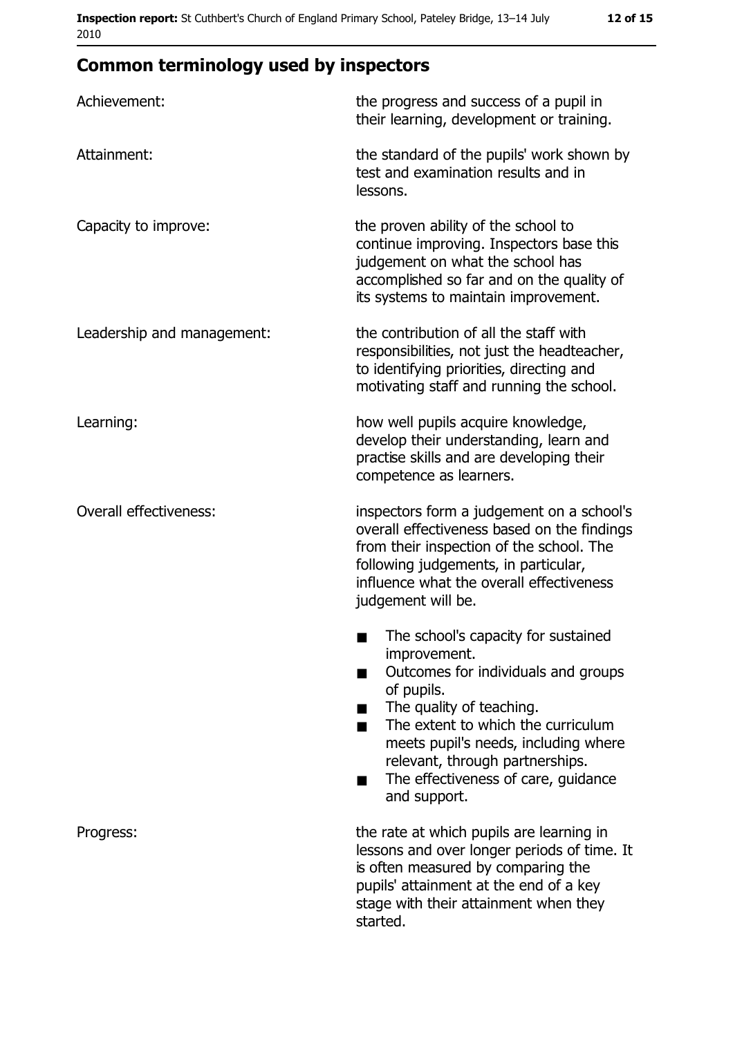# **Common terminology used by inspectors**

| Achievement:                  | the progress and success of a pupil in<br>their learning, development or training.                                                                                                                                                                                                                           |  |  |
|-------------------------------|--------------------------------------------------------------------------------------------------------------------------------------------------------------------------------------------------------------------------------------------------------------------------------------------------------------|--|--|
| Attainment:                   | the standard of the pupils' work shown by<br>test and examination results and in<br>lessons.                                                                                                                                                                                                                 |  |  |
| Capacity to improve:          | the proven ability of the school to<br>continue improving. Inspectors base this<br>judgement on what the school has<br>accomplished so far and on the quality of<br>its systems to maintain improvement.                                                                                                     |  |  |
| Leadership and management:    | the contribution of all the staff with<br>responsibilities, not just the headteacher,<br>to identifying priorities, directing and<br>motivating staff and running the school.                                                                                                                                |  |  |
| Learning:                     | how well pupils acquire knowledge,<br>develop their understanding, learn and<br>practise skills and are developing their<br>competence as learners.                                                                                                                                                          |  |  |
| <b>Overall effectiveness:</b> | inspectors form a judgement on a school's<br>overall effectiveness based on the findings<br>from their inspection of the school. The<br>following judgements, in particular,<br>influence what the overall effectiveness<br>judgement will be.                                                               |  |  |
|                               | The school's capacity for sustained<br>improvement.<br>Outcomes for individuals and groups<br>of pupils.<br>The quality of teaching.<br>The extent to which the curriculum<br>meets pupil's needs, including where<br>relevant, through partnerships.<br>The effectiveness of care, guidance<br>and support. |  |  |
| Progress:                     | the rate at which pupils are learning in<br>lessons and over longer periods of time. It<br>is often measured by comparing the<br>pupils' attainment at the end of a key<br>stage with their attainment when they<br>started.                                                                                 |  |  |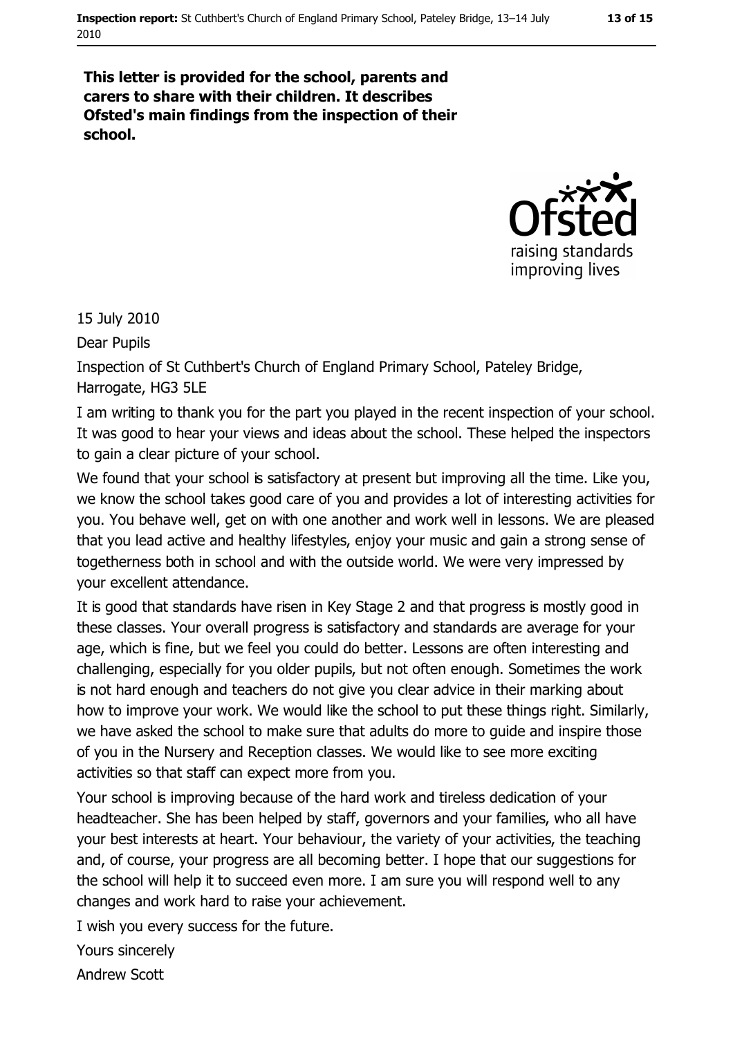#### 13 of 15

This letter is provided for the school, parents and carers to share with their children. It describes Ofsted's main findings from the inspection of their school.



15 July 2010

Dear Pupils

Inspection of St Cuthbert's Church of England Primary School, Pateley Bridge, Harrogate, HG3 5LE

I am writing to thank you for the part you played in the recent inspection of your school. It was good to hear your views and ideas about the school. These helped the inspectors to gain a clear picture of your school.

We found that your school is satisfactory at present but improving all the time. Like you, we know the school takes good care of you and provides a lot of interesting activities for you. You behave well, get on with one another and work well in lessons. We are pleased that you lead active and healthy lifestyles, enjoy your music and gain a strong sense of togetherness both in school and with the outside world. We were very impressed by your excellent attendance.

It is good that standards have risen in Key Stage 2 and that progress is mostly good in these classes. Your overall progress is satisfactory and standards are average for your age, which is fine, but we feel you could do better. Lessons are often interesting and challenging, especially for you older pupils, but not often enough. Sometimes the work is not hard enough and teachers do not give you clear advice in their marking about how to improve your work. We would like the school to put these things right. Similarly, we have asked the school to make sure that adults do more to guide and inspire those of you in the Nursery and Reception classes. We would like to see more exciting activities so that staff can expect more from you.

Your school is improving because of the hard work and tireless dedication of your headteacher. She has been helped by staff, governors and your families, who all have your best interests at heart. Your behaviour, the variety of your activities, the teaching and, of course, your progress are all becoming better. I hope that our suggestions for the school will help it to succeed even more. I am sure you will respond well to any changes and work hard to raise your achievement.

I wish you every success for the future.

Yours sincerely

**Andrew Scott**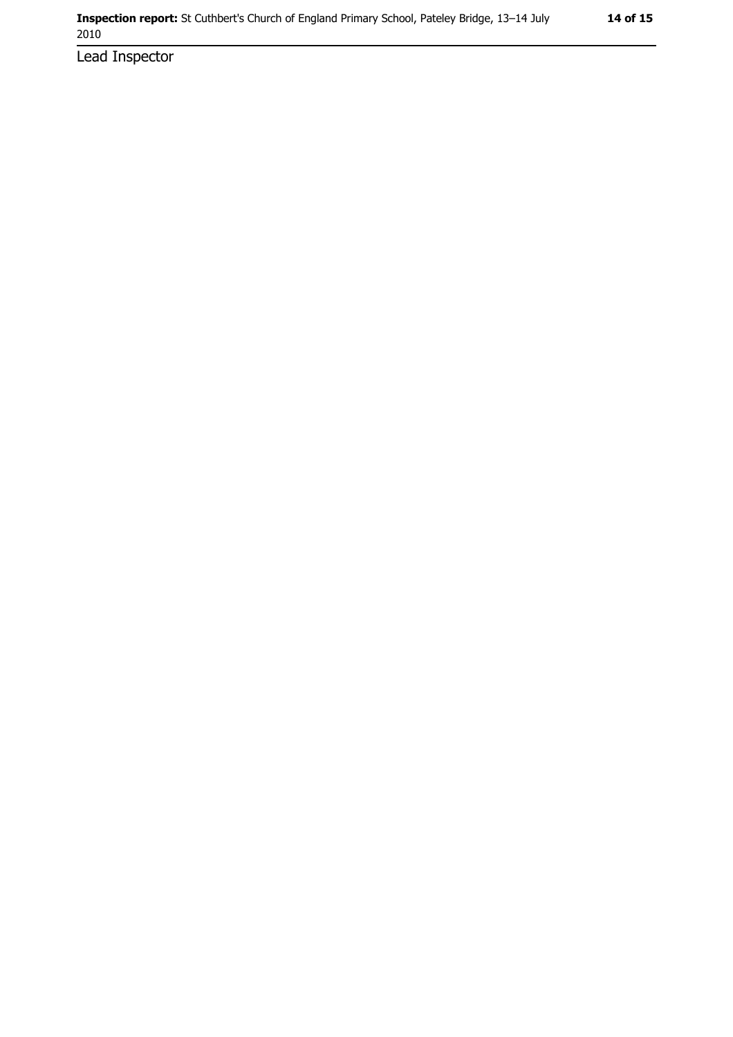Lead Inspector